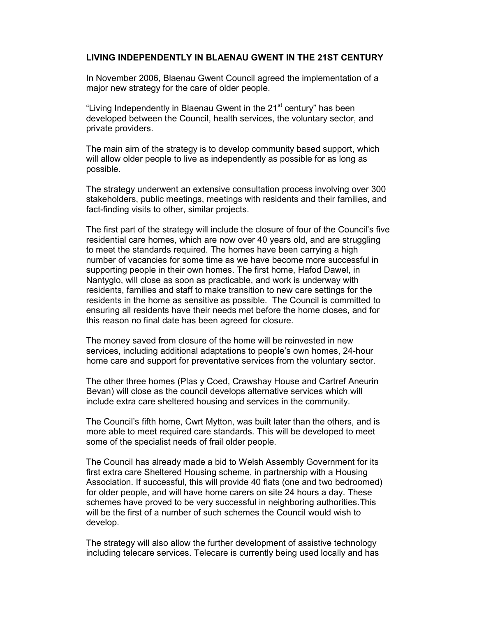## LIVING INDEPENDENTLY IN BLAENAU GWENT IN THE 21ST CENTURY

In November 2006, Blaenau Gwent Council agreed the implementation of a major new strategy for the care of older people.

"Living Independently in Blaenau Gwent in the 21<sup>st</sup> century" has been developed between the Council, health services, the voluntary sector, and private providers.

The main aim of the strategy is to develop community based support, which will allow older people to live as independently as possible for as long as possible.

The strategy underwent an extensive consultation process involving over 300 stakeholders, public meetings, meetings with residents and their families, and fact-finding visits to other, similar projects.

The first part of the strategy will include the closure of four of the Council's five residential care homes, which are now over 40 years old, and are struggling to meet the standards required. The homes have been carrying a high number of vacancies for some time as we have become more successful in supporting people in their own homes. The first home, Hafod Dawel, in Nantyglo, will close as soon as practicable, and work is underway with residents, families and staff to make transition to new care settings for the residents in the home as sensitive as possible. The Council is committed to ensuring all residents have their needs met before the home closes, and for this reason no final date has been agreed for closure.

The money saved from closure of the home will be reinvested in new services, including additional adaptations to people's own homes, 24-hour home care and support for preventative services from the voluntary sector.

The other three homes (Plas y Coed, Crawshay House and Cartref Aneurin Bevan) will close as the council develops alternative services which will include extra care sheltered housing and services in the community.

The Council's fifth home, Cwrt Mytton, was built later than the others, and is more able to meet required care standards. This will be developed to meet some of the specialist needs of frail older people.

The Council has already made a bid to Welsh Assembly Government for its first extra care Sheltered Housing scheme, in partnership with a Housing Association. If successful, this will provide 40 flats (one and two bedroomed) for older people, and will have home carers on site 24 hours a day. These schemes have proved to be very successful in neighboring authorities.This will be the first of a number of such schemes the Council would wish to develop.

The strategy will also allow the further development of assistive technology including telecare services. Telecare is currently being used locally and has